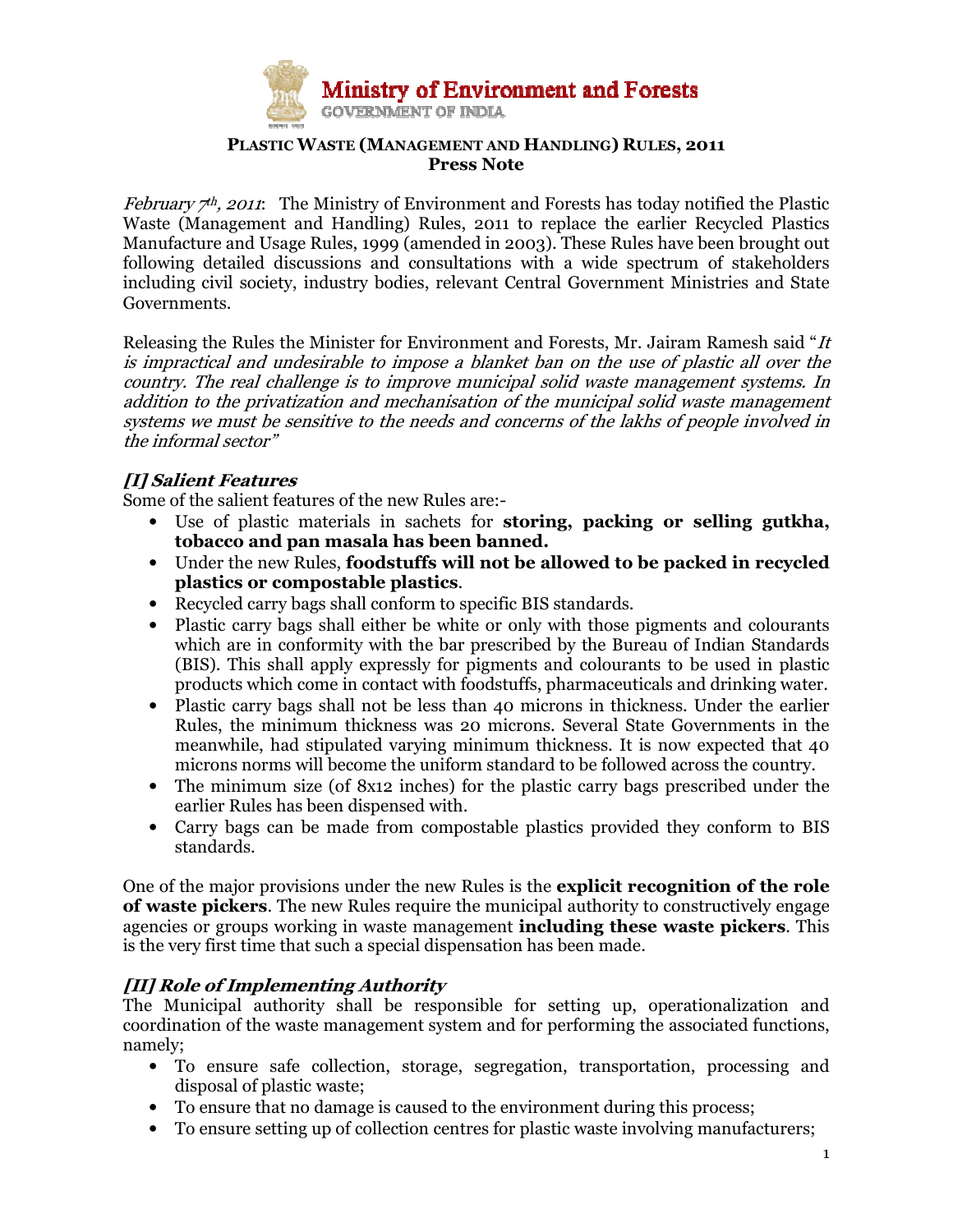

## PLASTIC WASTE (MANAGEMENT AND HANDLING) RULES, 2011 Press Note

*February*  $\tau$ *h, 2011*: The Ministry of Environment and Forests has today notified the Plastic Waste (Management and Handling) Rules, 2011 to replace the earlier Recycled Plastics Manufacture and Usage Rules, 1999 (amended in 2003). These Rules have been brought out following detailed discussions and consultations with a wide spectrum of stakeholders including civil society, industry bodies, relevant Central Government Ministries and State Governments.

Releasing the Rules the Minister for Environment and Forests, Mr. Jairam Ramesh said "It is impractical and undesirable to impose a blanket ban on the use of plastic all over the country. The real challenge is to improve municipal solid waste management systems. In addition to the privatization and mechanisation of the municipal solid waste management systems we must be sensitive to the needs and concerns of the lakhs of people involved in the informal sector"

## [I] Salient Features

Some of the salient features of the new Rules are:-

- Use of plastic materials in sachets for storing, packing or selling gutkha, tobacco and pan masala has been banned.
- Under the new Rules, foodstuffs will not be allowed to be packed in recycled plastics or compostable plastics.
- Recycled carry bags shall conform to specific BIS standards.
- Plastic carry bags shall either be white or only with those pigments and colourants which are in conformity with the bar prescribed by the Bureau of Indian Standards (BIS). This shall apply expressly for pigments and colourants to be used in plastic products which come in contact with foodstuffs, pharmaceuticals and drinking water.
- Plastic carry bags shall not be less than 40 microns in thickness. Under the earlier Rules, the minimum thickness was 20 microns. Several State Governments in the meanwhile, had stipulated varying minimum thickness. It is now expected that 40 microns norms will become the uniform standard to be followed across the country.
- The minimum size (of 8x12 inches) for the plastic carry bags prescribed under the earlier Rules has been dispensed with.
- Carry bags can be made from compostable plastics provided they conform to BIS standards.

One of the major provisions under the new Rules is the explicit recognition of the role of waste pickers. The new Rules require the municipal authority to constructively engage agencies or groups working in waste management including these waste pickers. This is the very first time that such a special dispensation has been made.

## [II] Role of Implementing Authority

The Municipal authority shall be responsible for setting up, operationalization and coordination of the waste management system and for performing the associated functions, namely;

- To ensure safe collection, storage, segregation, transportation, processing and disposal of plastic waste;
- To ensure that no damage is caused to the environment during this process;
- To ensure setting up of collection centres for plastic waste involving manufacturers;